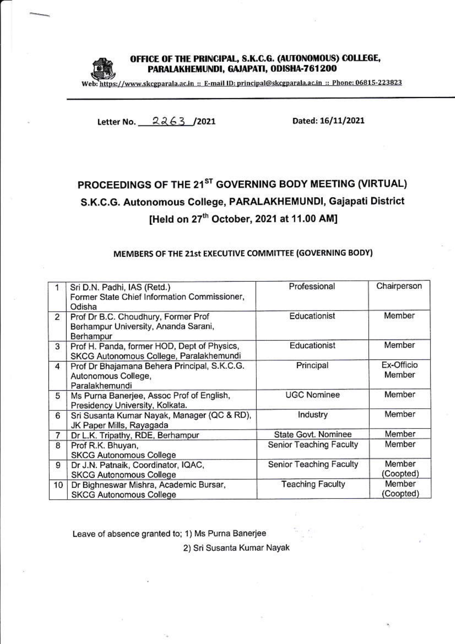

## OFFICE OF THE PRINCIPAL, S.K.C.G. (AUTONOMOUS) COLLEGE, PARALAKHEMUNDI, GAJAPATI, ODISHA-761200

Web: https://www.skcgparala.ac.in :: E-mail ID: principal@skcgparala.ac.in :: Phone: 06815-223823

Letter No. 2263 /2021

Dated: 16/11/2021

## PROCEEDINGS OF THE 21<sup>ST</sup> GOVERNING BODY MEETING (VIRTUAL) S.K.C.G. Autonomous College, PARALAKHEMUNDI, Gajapati District [Held on 27<sup>th</sup> October, 2021 at 11.00 AM]

## MEMBERS OF THE 21st EXECUTIVE COMMITTEE (GOVERNING BODY)

|                | Sri D.N. Padhi, IAS (Retd.)<br>Former State Chief Information Commissioner,<br>Odisha    | Professional            | Chairperson          |
|----------------|------------------------------------------------------------------------------------------|-------------------------|----------------------|
| $\overline{2}$ | Prof Dr B.C. Choudhury, Former Prof<br>Berhampur University, Ananda Sarani,<br>Berhampur | Educationist            | Member               |
| 3              | Prof H. Panda, former HOD, Dept of Physics,<br>SKCG Autonomous College, Paralakhemundi   | Educationist            | Member               |
| $\overline{4}$ | Prof Dr Bhajamana Behera Principal, S.K.C.G.<br>Autonomous College,<br>Paralakhemundi    | Principal               | Ex-Officio<br>Member |
| 5              | Ms Purna Banerjee, Assoc Prof of English,<br>Presidency University, Kolkata.             | <b>UGC Nominee</b>      | Member               |
| 6              | Sri Susanta Kumar Nayak, Manager (QC & RD),<br>JK Paper Mills, Rayagada                  | Industry                | Member               |
| 7              | Dr L.K. Tripathy, RDE, Berhampur                                                         | State Govt. Nominee     | Member               |
| 8              | Prof R.K. Bhuyan,<br><b>SKCG Autonomous College</b>                                      | Senior Teaching Faculty | Member               |
| 9              | Dr J.N. Patnaik, Coordinator, IQAC,<br><b>SKCG Autonomous College</b>                    | Senior Teaching Faculty | Member<br>(Coopted)  |
| 10             | Dr Bighneswar Mishra, Academic Bursar,<br><b>SKCG Autonomous College</b>                 | <b>Teaching Faculty</b> | Member<br>(Coopted)  |

Leave of absence granted to; 1) Ms Purna Banerjee

2) Sri Susanta Kumar Nayak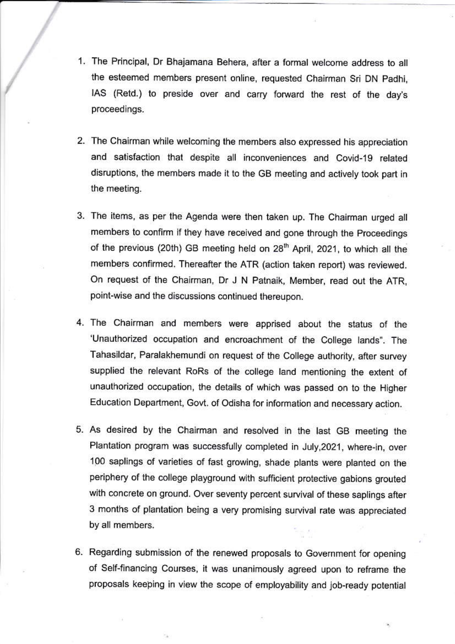- 1. The Principal, Dr Bhajamana Behera, after a formal welcome address to all the esteemed members present online, requested Chairman Sri DN Padhi, IAS (Retd.) to preside over and carry forward the rest of the day's proceedings.
- 2. The Chairman while welcoming the members also expressed his appreciation and satisfaction that despite all inconveniences and Covid-19 related disruptions, the members made it to the GB meeting and actively took part in the meeting.
- 3. The items, as per the Agenda were then taken up. The Chairman urged all members to confirm if they have received and gone through the Proceedings of the previous (20th) GB meeting held on 28<sup>th</sup> April, 2021, to which all the members confirmed. Thereafter the ATR (action taken report) was reviewed. On request of the Chairman, Dr J N Patnaik, Member, read out the ATR, point-wise and the discussions continued thereupon.
- 4. The Chairman and members were apprised about the status of the 'Unauthorized occupation and encroachment of the College lands". The Tahasildar, Paralakhemundi on request of the College authority, after survey supplied the relevant RoRs of the college land mentioning the extent of unauthorized occupation, the details of which was passed on to the Higher Education Department, Govt. of Odisha for information and necessary action.
- 5. As desired by the Chairman and resolved in the last GB meeting the Plantation program was successfully completed in July, 2021, where-in, over 100 saplings of varieties of fast growing, shade plants were planted on the periphery of the college playground with sufficient protective gabions grouted with concrete on ground. Over seventy percent survival of these saplings after 3 months of plantation being a very promising survival rate was appreciated by all members.
- 6. Regarding submission of the renewed proposals to Government for opening of Self-financing Courses, it was unanimously agreed upon to reframe the proposals keeping in view the scope of employability and job-ready potential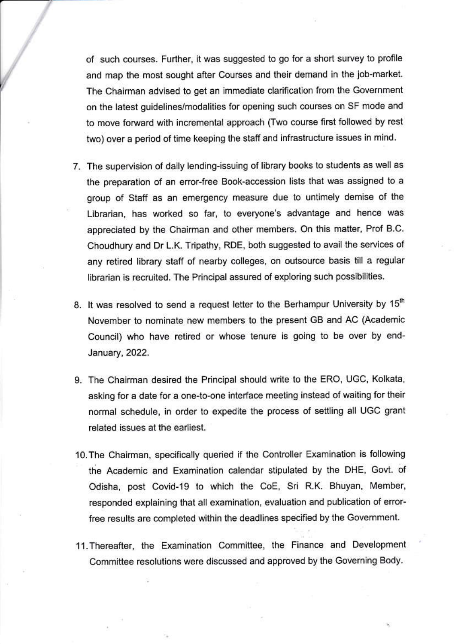of such courses. Further, it was suggested to go for a short survey to profile and map the most sought after Courses and their demand in the job-market. The Chairman advised to get an immediate clarification from the Government on the latest guidelines/modalities for opening such courses on SF mode and to move forward with incremental approach (Two course first followed by rest two) over a period of time keeping the staff and infrastructure issues in mind.

- 7. The supervision of daily lending-issuing of library books to students as well as the preparation of an error-free Book-accession lists that was assigned to a group of Staff as an emergency measure due to untimely demise of the Librarian, has worked so far, to everyone's advantage and hence was appreciated by the Chairman and other members. On this matter, Prof B.C. Choudhury and Dr L.K. Tripathy, RDE, both suggested to avail the services of any retired library staff of nearby colleges, on outsource basis till a regular librarian is recruited. The Principal assured of exploring such possibilities.
- 8. It was resolved to send a request letter to the Berhampur University by 15th November to nominate new members to the present GB and AC (Academic Council) who have retired or whose tenure is going to be over by end-January, 2022.
- 9. The Chairman desired the Principal should write to the ERO, UGC, Kolkata, asking for a date for a one-to-one interface meeting instead of waiting for their normal schedule, in order to expedite the process of settling all UGC grant related issues at the earliest.
- 10. The Chairman, specifically queried if the Controller Examination is following the Academic and Examination calendar stipulated by the DHE, Govt. of Odisha, post Covid-19 to which the CoE, Sri R.K. Bhuyan, Member, responded explaining that all examination, evaluation and publication of errorfree results are completed within the deadlines specified by the Government.
- 11. Thereafter, the Examination Committee, the Finance and Development Committee resolutions were discussed and approved by the Governing Body.